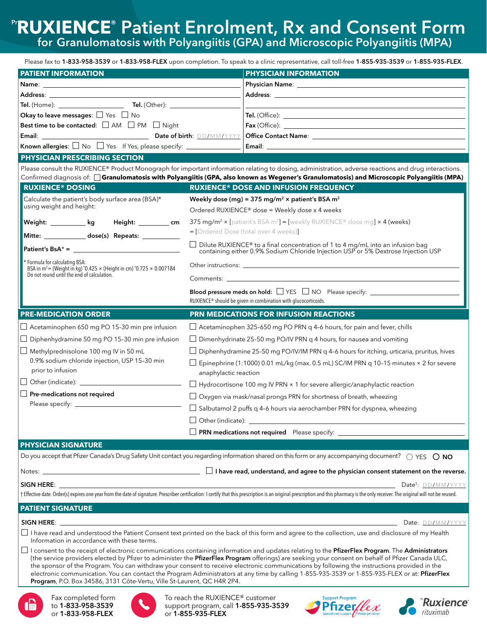Please fax to 1-833-958-3539 or 1-833-958-FLEX upon completion. To speak to a clinic representative, call toll-free 1-855-935-3539 or 1-855-935-FLEX.

| <b>PATIENT INFORMATION</b>                                                                                                                                                                                                     |                                                                                                                                                                       | <b>PHYSICIAN INFORMATION</b>                                                                                                                                                                                                                                                                              |
|--------------------------------------------------------------------------------------------------------------------------------------------------------------------------------------------------------------------------------|-----------------------------------------------------------------------------------------------------------------------------------------------------------------------|-----------------------------------------------------------------------------------------------------------------------------------------------------------------------------------------------------------------------------------------------------------------------------------------------------------|
|                                                                                                                                                                                                                                |                                                                                                                                                                       |                                                                                                                                                                                                                                                                                                           |
| Address: the contract of the contract of the contract of the contract of the contract of the contract of the contract of the contract of the contract of the contract of the contract of the contract of the contract of the c |                                                                                                                                                                       | Address: the contract of the contract of the contract of the contract of the contract of the contract of the contract of the contract of the contract of the contract of the contract of the contract of the contract of the c                                                                            |
|                                                                                                                                                                                                                                |                                                                                                                                                                       |                                                                                                                                                                                                                                                                                                           |
| Okay to leave messages: $\Box$ Yes $\Box$ No                                                                                                                                                                                   |                                                                                                                                                                       |                                                                                                                                                                                                                                                                                                           |
| Best time to be contacted: □ AM □ PM □ Night                                                                                                                                                                                   |                                                                                                                                                                       |                                                                                                                                                                                                                                                                                                           |
|                                                                                                                                                                                                                                |                                                                                                                                                                       |                                                                                                                                                                                                                                                                                                           |
|                                                                                                                                                                                                                                |                                                                                                                                                                       |                                                                                                                                                                                                                                                                                                           |
| <b>PHYSICIAN PRESCRIBING SECTION</b>                                                                                                                                                                                           |                                                                                                                                                                       |                                                                                                                                                                                                                                                                                                           |
|                                                                                                                                                                                                                                |                                                                                                                                                                       | Please consult the RUXIENCE® Product Monograph for important information relating to dosing, administration, adverse reactions and drug interactions.<br>Confirmed diagnosis of: <b>Granulomatosis with Polyangiitis (GPA, also known as Wegener's Granulomatosis) and Microscopic Polyangiitis (MPA)</b> |
| <b>RUXIENCE® DOSING</b>                                                                                                                                                                                                        |                                                                                                                                                                       | <b>RUXIENCE® DOSE AND INFUSION FREQUENCY</b>                                                                                                                                                                                                                                                              |
| Calculate the patient's body surface area (BSA)*                                                                                                                                                                               | Weekly dose (mg) = 375 mg/m <sup>2</sup> $\times$ patient's BSA m <sup>2</sup>                                                                                        |                                                                                                                                                                                                                                                                                                           |
| using weight and height:                                                                                                                                                                                                       |                                                                                                                                                                       | Ordered RUXIENCE® dose = Weekly dose x 4 weeks                                                                                                                                                                                                                                                            |
| Weight: __________ kg    Height: _________ cm                                                                                                                                                                                  |                                                                                                                                                                       | 375 mg/m <sup>2</sup> × [patient's BSA m <sup>2</sup> ] = [weekly RUXIENCE® dose mg] × 4 (weeks)                                                                                                                                                                                                          |
| Mitte: ______________ dose(s) Repeats: ____________                                                                                                                                                                            |                                                                                                                                                                       | = [Ordered Dose (total over 4 weeks)]                                                                                                                                                                                                                                                                     |
|                                                                                                                                                                                                                                | □ Dilute RUXIENCE® to a final concentration of 1 to 4 mg/mL into an infusion bag<br>containing either 0.9% Sodium Chloride Injection USP or 5% Dextrose Injection USP |                                                                                                                                                                                                                                                                                                           |
| Formula for calculating BSA:<br>BSA in $m^2$ = (Weight in kg) $0.425 \times$ (Height in cm) $0.725 \times 0.007184$<br>Do not round until the end of calculation.                                                              |                                                                                                                                                                       |                                                                                                                                                                                                                                                                                                           |
|                                                                                                                                                                                                                                |                                                                                                                                                                       |                                                                                                                                                                                                                                                                                                           |
|                                                                                                                                                                                                                                | RUXIENCE® should be given in combination with glucocorticoids.                                                                                                        |                                                                                                                                                                                                                                                                                                           |
|                                                                                                                                                                                                                                |                                                                                                                                                                       |                                                                                                                                                                                                                                                                                                           |
| <b>PRE-MEDICATION ORDER</b>                                                                                                                                                                                                    |                                                                                                                                                                       | PRN MEDICATIONS FOR INFUSION REACTIONS                                                                                                                                                                                                                                                                    |
|                                                                                                                                                                                                                                |                                                                                                                                                                       |                                                                                                                                                                                                                                                                                                           |
| $\Box$ Acetaminophen 650 mg PO 15-30 min pre infusion                                                                                                                                                                          |                                                                                                                                                                       | $\Box$ Acetaminophen 325-650 mg PO PRN q 4-6 hours, for pain and fever, chills                                                                                                                                                                                                                            |
| $\Box$ Diphenhydramine 50 mg PO 15-30 min pre infusion                                                                                                                                                                         |                                                                                                                                                                       | $\Box$ Dimenhydrinate 25-50 mg PO/IV PRN q 4 hours, for nausea and vomiting                                                                                                                                                                                                                               |
| $\Box$ Methylprednisolone 100 mg IV in 50 mL<br>0.9% sodium chloride injection, USP 15-30 min                                                                                                                                  |                                                                                                                                                                       | $\Box$ Diphenhydramine 25-50 mg PO/IV/IM PRN q 4-6 hours for itching, urticaria, pruritus, hives<br>$\Box$ Epinephrine (1:1000) 0.01 mL/kg (max. 0.5 mL) SC/IM PRN q 10-15 minutes × 2 for severe                                                                                                         |
| prior to infusion                                                                                                                                                                                                              | anaphylactic reaction                                                                                                                                                 |                                                                                                                                                                                                                                                                                                           |
| $\Box$ Other (indicate):                                                                                                                                                                                                       |                                                                                                                                                                       | $\Box$ Hydrocortisone 100 mg IV PRN $\times$ 1 for severe allergic/anaphylactic reaction                                                                                                                                                                                                                  |
| Pre-medications not required                                                                                                                                                                                                   |                                                                                                                                                                       | $\Box$ Oxygen via mask/nasal prongs PRN for shortness of breath, wheezing                                                                                                                                                                                                                                 |
|                                                                                                                                                                                                                                |                                                                                                                                                                       | $\Box$ Salbutamol 2 puffs q 4-6 hours via aerochamber PRN for dyspnea, wheezing                                                                                                                                                                                                                           |
|                                                                                                                                                                                                                                | $\Box$ Other (indicate): $\Box$                                                                                                                                       |                                                                                                                                                                                                                                                                                                           |
|                                                                                                                                                                                                                                |                                                                                                                                                                       |                                                                                                                                                                                                                                                                                                           |
| <b>PHYSICIAN SIGNATURE</b>                                                                                                                                                                                                     |                                                                                                                                                                       |                                                                                                                                                                                                                                                                                                           |
|                                                                                                                                                                                                                                |                                                                                                                                                                       | Do you accept that Pfizer Canada's Drug Safety Unit contact you regarding information shared on this form or any accompanying document? $\bigcirc$ YES $\bigcirc$ NO                                                                                                                                      |
|                                                                                                                                                                                                                                |                                                                                                                                                                       | $\Box$ I have read, understand, and agree to the physician consent statement on the reverse.                                                                                                                                                                                                              |
| SIGN HERE: The contract of the contract of the contract of the contract of the contract of the contract of the contract of the contract of the contract of the contract of the contract of the contract of the contract of the |                                                                                                                                                                       | Date <sup>t</sup> : DD/MM/YYYY                                                                                                                                                                                                                                                                            |
|                                                                                                                                                                                                                                |                                                                                                                                                                       | † Effective date. Order(s) expires one year from the date of signature. Prescriber certification: I certify that this prescription is an original prescription and this pharmacy is the only receiver. The original will not b                                                                            |
| <b>PATIENT SIGNATURE</b>                                                                                                                                                                                                       |                                                                                                                                                                       |                                                                                                                                                                                                                                                                                                           |
| SIGN HERE:                                                                                                                                                                                                                     |                                                                                                                                                                       | Date: DD/MM/YYYY                                                                                                                                                                                                                                                                                          |
| Information in accordance with these terms.                                                                                                                                                                                    |                                                                                                                                                                       | □ I have read and understood the Patient Consent text printed on the back of this form and agree to the collection, use and disclosure of my Health                                                                                                                                                       |

I I consent to the receipt of electronic communications containing information and updates relating to the **PfizerFlex Program**. The **Administrators** (the service providers elected by Pfizer to administer the PfizerFlex Program offerings) are seeking your consent on behalf of Pfizer Canada ULC, the sponsor of the Program. You can withdraw your consent to receive electronic communications by following the instructions provided in the electronic communication. You can contact the Program Administrators at any time by calling 1-855-935-3539 or 1-855-935-FLEX or at: PfizerFlex Program, P.O. Box 34586, 3131 Côte-Vertu, Ville St-Laurent, QC H4R 2P4.



Fax completed form to 1-833-958-3539 or 1-833-958-FLEX



To reach the RUXIENCE® customer support program, call 1-855-935-3539 or 1-855-935-FLEX